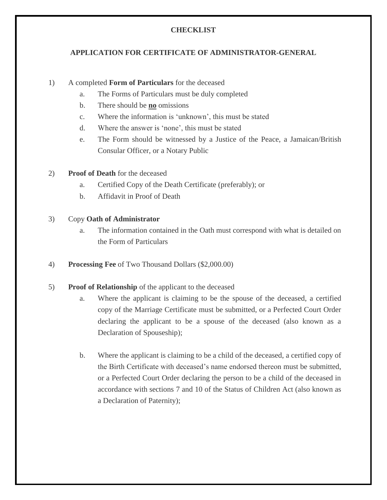# **CHECKLIST**

## **APPLICATION FOR CERTIFICATE OF ADMINISTRATOR-GENERAL**

#### 1) A [completed](http://www.agd.gov.jm/sites/default/files/pdf/forms/Checklist%20For%20Certificates%20Of%20The%20Administrator-General.pdf) **[Form of Particulars](http://www.agd.gov.jm/sites/default/files/pdf/forms/Checklist%20For%20Certificates%20Of%20The%20Administrator-General.pdf)** for the deceased

- a. The Forms of Particulars must be duly completed
- b. There should be **no** omissions
- c. Where the information is 'unknown', this must be stated
- d. Where the answer is 'none', this must be stated
- e. The Form should be witnessed by a Justice of the Peace, a Jamaican/British Consular Officer, or a Notary Public
- 2) **Proof of Death** for the deceased
	- a. Certified Copy of the Death Certificate (preferably); or
	- b. Affidavit in Proof of Death

#### 3) Copy **Oath of Administrator**

- a. The information contained in the Oath must correspond with what is detailed on the Form of Particulars
- 4) **Processing [Fee](http://www.agd.gov.jm/sites/default/files/pdf/forms/fees.pdf)** of Two Thousand Dollars (\$2,000.00)

#### 5) **Proof of Relationship** of the applicant to the deceased

- a. Where the applicant is claiming to be the spouse of the deceased, a certified copy of the Marriage Certificate must be submitted, or a Perfected Court Order declaring the applicant to be a spouse of the deceased (also known as a Declaration of Spouseship);
- b. Where the applicant is claiming to be a child of the deceased, a certified copy of the Birth Certificate with deceased's name endorsed thereon must be submitted, or a Perfected Court Order declaring the person to be a child of the deceased in accordance with sections 7 and 10 of the Status of Children Act (also known as a Declaration of Paternity);